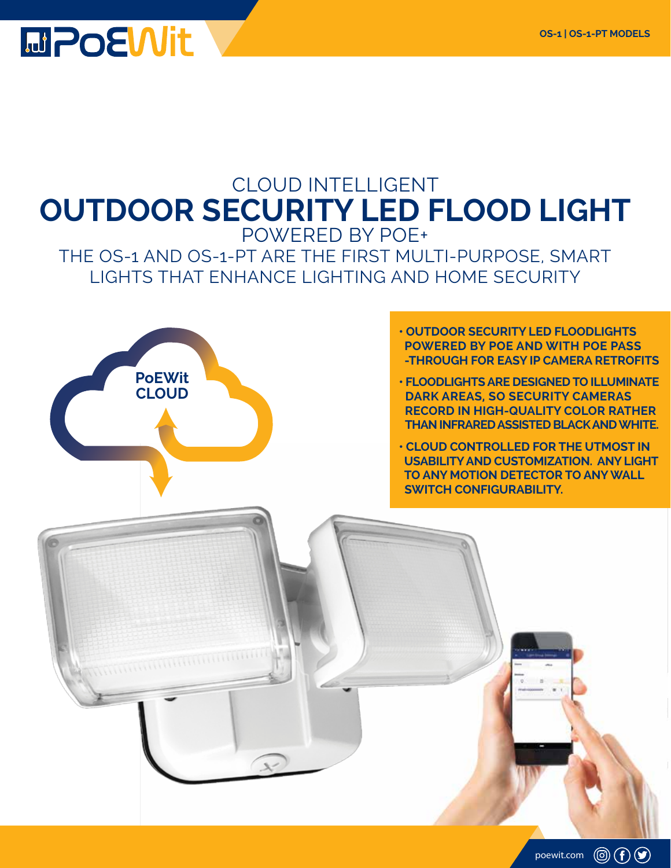

# CLOUD INTELLIGENT **OUTDOOR SECURITY LED FLOOD LIGHT** POWERED BY POE+ THE OS-1 AND OS-1-PT ARE THE FIRST MULTI-PURPOSE, SMART LIGHTS THAT ENHANCE LIGHTING AND HOME SECURITY



 $\mathcal{R}$ 

#### **• OUTDOOR SECURITY LED FLOODLIGHTS POWERED BY POE AND WITH POE PASS -THROUGH FOR EASY IP CAMERA RETROFITS**

**• FLOODLIGHTS ARE DESIGNED TO ILLUMINATE DARK AREAS, SO SECURITY CAMERAS RECORD IN HIGH-QUALITY COLOR RATHER THAN INFRARED ASSISTED BLACK AND WHITE.** 

**• CLOUD CONTROLLED FOR THE UTMOST IN USABILITY AND CUSTOMIZATION. ANY LIGHT TO ANY MOTION DETECTOR TO ANY WALL SWITCH CONFIGURABILITY.** 

poewit.com  $\circled{0}$   $\circled{f}$   $\circled{9}$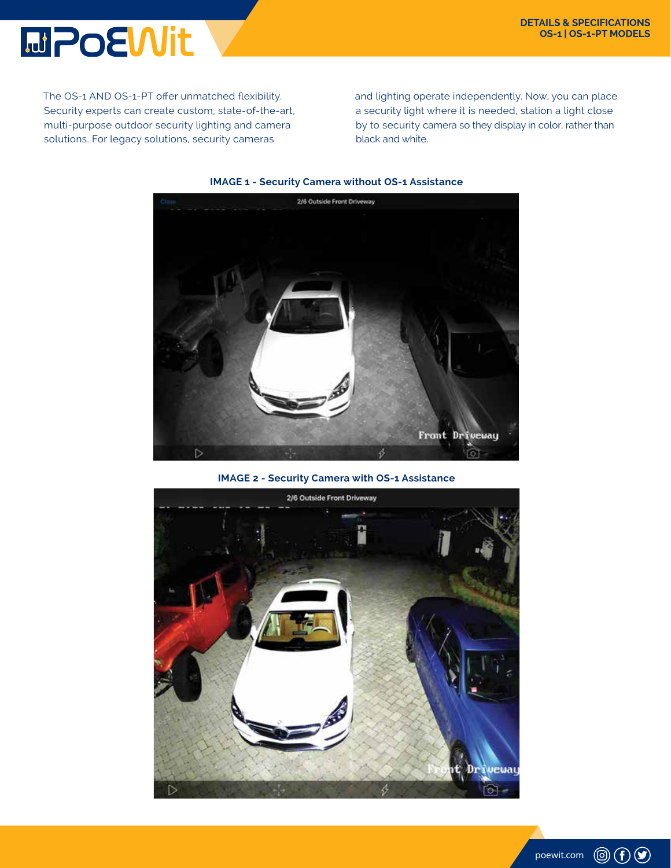

The OS-1 AND OS-1-PT offer unmatched flexibility. Security experts can create custom, state-of-the-art, multi-purpose outdoor security lighting and camera solutions. For legacy solutions, security cameras

and lighting operate independently. Now, you can place a security light where it is needed, station a light close by to security camera so they display in color, rather than black and white.



#### **IMAGE 1 - Security Camera without OS-1 Assistance**

**IMAGE 2 - Security Camera with OS-1 Assistance**



![](_page_1_Picture_8.jpeg)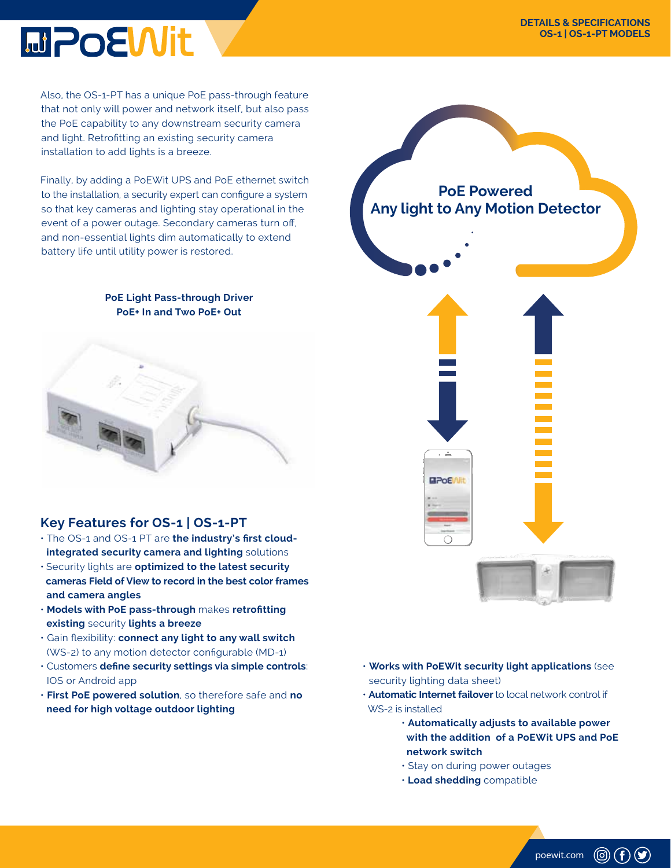![](_page_2_Picture_1.jpeg)

Also, the OS-1-PT has a unique PoE pass-through feature that not only will power and network itself, but also pass the PoE capability to any downstream security camera and light. Retrofitting an existing security camera installation to add lights is a breeze.

Finally, by adding a PoEWit UPS and PoE ethernet switch to the installation, a security expert can configure a system so that key cameras and lighting stay operational in the event of a power outage. Secondary cameras turn off, and non-essential lights dim automatically to extend battery life until utility power is restored.

#### **PoE Light Pass-through Driver PoE+ In and Two PoE+ Out**

![](_page_2_Picture_5.jpeg)

## **Key Features for OS-1 | OS-1-PT**

- The OS-1 and OS-1 PT are **the industry's first cloud integrated security camera and lighting** solutions
- Security lights are **optimized to the latest security cameras Field of View to record in the best color frames and camera angles**
- **Models with PoE pass-through** makes **retrofitting existing** security **lights a breeze**
- Gain flexibility: **connect any light to any wall switch**  (WS-2) to any motion detector configurable (MD-1)
- Customers **define security settings via simple controls**: IOS or Android app
- **First PoE powered solution**, so therefore safe and **no need for high voltage outdoor lighting**

![](_page_2_Picture_13.jpeg)

- **Works with PoEWit security light applications** (see security lighting data sheet)
- **Automatic Internet failover** to local network control if WS-2 is installed
	- **Automatically adjusts to available power with the addition of a PoEWit UPS and PoE network switch**

poewit.com

 $\circledcirc$   $\bullet$ 

- Stay on during power outages
- • **Load shedding** compatible